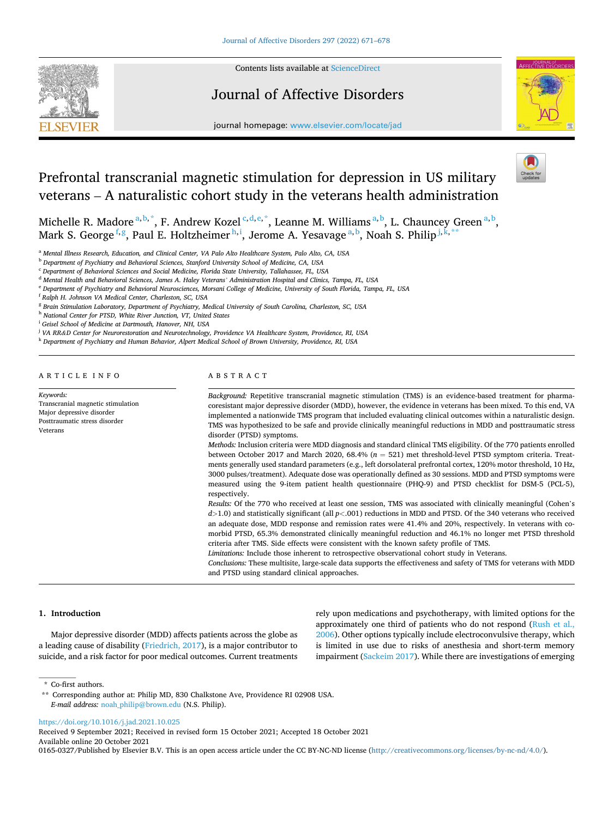

Contents lists available at [ScienceDirect](www.sciencedirect.com/science/journal/01650327)

## Journal of Affective Disorders



journal homepage: [www.elsevier.com/locate/jad](https://www.elsevier.com/locate/jad)

# Prefrontal transcranial magnetic stimulation for depression in US military veterans – A naturalistic cohort study in the veterans health administration

Michelle R. Madore <sup>a, b,\*</sup>, F. Andrew Kozel <sup>c, d, e,\*</sup>, Leanne M. Williams <sup>a, b</sup>, L. Chauncey Green <sup>a, b</sup>, Mark S. George $^{\rm f,g},$  Paul E. Holtzheimer $^{\rm h,i},$  Jerome A. Yesavage $^{\rm a,b},$  Noah S. Philip $^{\rm j,k,**}$ 

<sup>a</sup> *Mental Illness Research, Education, and Clinical Center, VA Palo Alto Healthcare System, Palo Alto, CA, USA* 

<sup>b</sup> *Department of Psychiatry and Behavioral Sciences, Stanford University School of Medicine, CA, USA* 

<sup>c</sup> *Department of Behavioral Sciences and Social Medicine, Florida State University, Tallahassee, FL, USA* 

<sup>d</sup> *Mental Health and Behavioral Sciences, James A. Haley Veterans' Administration Hospital and Clinics, Tampa, FL, USA* 

<sup>e</sup> *Department of Psychiatry and Behavioral Neurosciences, Morsani College of Medicine, University of South Florida, Tampa, FL, USA* 

<sup>f</sup> *Ralph H. Johnson VA Medical Center, Charleston, SC, USA* 

<sup>g</sup> *Brain Stimulation Laboratory, Department of Psychiatry, Medical University of South Carolina, Charleston, SC, USA* 

<sup>h</sup> *National Center for PTSD, White River Junction, VT, United States* 

<sup>i</sup> *Geisel School of Medicine at Dartmouth, Hanover, NH, USA* 

<sup>j</sup> *VA RR&D Center for Neurorestoration and Neurotechnology, Providence VA Healthcare System, Providence, RI, USA* 

<sup>k</sup> *Department of Psychiatry and Human Behavior, Alpert Medical School of Brown University, Providence, RI, USA* 

## ARTICLE INFO

*Keywords:*  Transcranial magnetic stimulation Major depressive disorder Posttraumatic stress disorder Veterans

## ABSTRACT

*Background:* Repetitive transcranial magnetic stimulation (TMS) is an evidence-based treatment for pharmacoresistant major depressive disorder (MDD), however, the evidence in veterans has been mixed. To this end, VA implemented a nationwide TMS program that included evaluating clinical outcomes within a naturalistic design. TMS was hypothesized to be safe and provide clinically meaningful reductions in MDD and posttraumatic stress disorder (PTSD) symptoms.

*Methods:* Inclusion criteria were MDD diagnosis and standard clinical TMS eligibility. Of the 770 patients enrolled between October 2017 and March 2020, 68.4% (*n* = 521) met threshold-level PTSD symptom criteria. Treatments generally used standard parameters (e.g., left dorsolateral prefrontal cortex, 120% motor threshold, 10 Hz, 3000 pulses/treatment). Adequate dose was operationally defined as 30 sessions. MDD and PTSD symptoms were measured using the 9-item patient health questionnaire (PHQ-9) and PTSD checklist for DSM-5 (PCL-5), respectively.

*Results:* Of the 770 who received at least one session, TMS was associated with clinically meaningful (Cohen's *d>*1.0) and statistically significant (all *p<*.001) reductions in MDD and PTSD. Of the 340 veterans who received an adequate dose, MDD response and remission rates were 41.4% and 20%, respectively. In veterans with comorbid PTSD, 65.3% demonstrated clinically meaningful reduction and 46.1% no longer met PTSD threshold criteria after TMS. Side effects were consistent with the known safety profile of TMS.

*Limitations:* Include those inherent to retrospective observational cohort study in Veterans.

*Conclusions:* These multisite, large-scale data supports the effectiveness and safety of TMS for veterans with MDD and PTSD using standard clinical approaches.

## **1. Introduction**

Major depressive disorder (MDD) affects patients across the globe as a leading cause of disability ([Friedrich, 2017](#page-6-0)), is a major contributor to suicide, and a risk factor for poor medical outcomes. Current treatments rely upon medications and psychotherapy, with limited options for the approximately one third of patients who do not respond ([Rush et al.,](#page-7-0)  [2006\)](#page-7-0). Other options typically include electroconvulsive therapy, which is limited in use due to risks of anesthesia and short-term memory impairment ([Sackeim 2017\)](#page-7-0). While there are investigations of emerging

Available online 20 October 2021 0165-0327/Published by Elsevier B.V. This is an open access article under the CC BY-NC-ND license(<http://creativecommons.org/licenses/by-nc-nd/4.0/>). Received 9 September 2021; Received in revised form 15 October 2021; Accepted 18 October 2021

<sup>\*</sup> Co-first authors.

<sup>\*\*</sup> Corresponding author at: Philip MD, 830 Chalkstone Ave, Providence RI 02908 USA. *E-mail address:* [noah\\_philip@brown.edu](mailto:noah_philip@brown.edu) (N.S. Philip).

<https://doi.org/10.1016/j.jad.2021.10.025>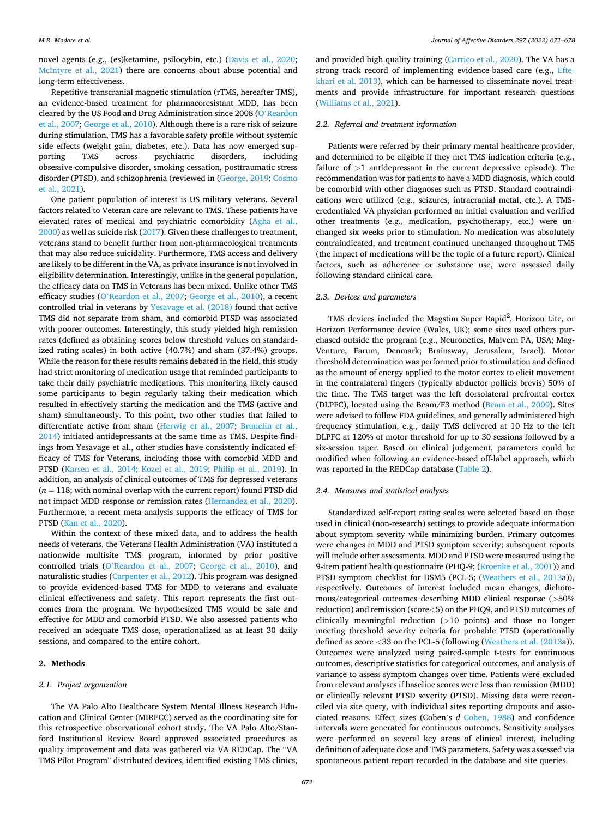novel agents (e.g., (es)ketamine, psilocybin, etc.) ([Davis et al., 2020](#page-6-0); [McIntyre et al., 2021\)](#page-7-0) there are concerns about abuse potential and long-term effectiveness.

Repetitive transcranial magnetic stimulation (rTMS, hereafter TMS), an evidence-based treatment for pharmacoresistant MDD, has been cleared by the US Food and Drug Administration since 2008 (O'[Reardon](#page-7-0)  [et al., 2007](#page-7-0); [George et al., 2010\)](#page-6-0). Although there is a rare risk of seizure during stimulation, TMS has a favorable safety profile without systemic side effects (weight gain, diabetes, etc.). Data has now emerged supporting TMS across psychiatric disorders, including obsessive-compulsive disorder, smoking cessation, posttraumatic stress disorder (PTSD), and schizophrenia (reviewed in ([George, 2019; Cosmo](#page-6-0)  [et al., 2021\)](#page-6-0).

One patient population of interest is US military veterans. Several factors related to Veteran care are relevant to TMS. These patients have elevated rates of medical and psychiatric comorbidity ([Agha et al.,](#page-6-0)  [2000\)](#page-6-0) as well as suicide risk [\(2017](#page-7-0)). Given these challenges to treatment, veterans stand to benefit further from non-pharmacological treatments that may also reduce suicidality. Furthermore, TMS access and delivery are likely to be different in the VA, as private insurance is not involved in eligibility determination. Interestingly, unlike in the general population, the efficacy data on TMS in Veterans has been mixed. Unlike other TMS efficacy studies (O'[Reardon et al., 2007;](#page-7-0) [George et al., 2010](#page-6-0)), a recent controlled trial in veterans by [Yesavage et al. \(2018\)](#page-7-0) found that active TMS did not separate from sham, and comorbid PTSD was associated with poorer outcomes. Interestingly, this study yielded high remission rates (defined as obtaining scores below threshold values on standardized rating scales) in both active (40.7%) and sham (37.4%) groups. While the reason for these results remains debated in the field, this study had strict monitoring of medication usage that reminded participants to take their daily psychiatric medications. This monitoring likely caused some participants to begin regularly taking their medication which resulted in effectively starting the medication and the TMS (active and sham) simultaneously. To this point, two other studies that failed to differentiate active from sham [\(Herwig et al., 2007;](#page-7-0) [Brunelin et al.,](#page-6-0)  [2014\)](#page-6-0) initiated antidepressants at the same time as TMS. Despite findings from Yesavage et al., other studies have consistently indicated efficacy of TMS for Veterans, including those with comorbid MDD and PTSD ([Karsen et al., 2014;](#page-7-0) [Kozel et al., 2019;](#page-7-0) [Philip et al., 2019](#page-7-0)). In addition, an analysis of clinical outcomes of TMS for depressed veterans  $(n = 118;$  with nominal overlap with the current report) found PTSD did not impact MDD response or remission rates ([Hernandez et al., 2020](#page-7-0)). Furthermore, a recent meta-analysis supports the efficacy of TMS for PTSD [\(Kan et al., 2020](#page-7-0)).

Within the context of these mixed data, and to address the health needs of veterans, the Veterans Health Administration (VA) instituted a nationwide multisite TMS program, informed by prior positive controlled trials (O'[Reardon et al., 2007;](#page-7-0) [George et al., 2010](#page-6-0)), and naturalistic studies [\(Carpenter et al., 2012](#page-6-0)). This program was designed to provide evidenced-based TMS for MDD to veterans and evaluate clinical effectiveness and safety. This report represents the first outcomes from the program. We hypothesized TMS would be safe and effective for MDD and comorbid PTSD. We also assessed patients who received an adequate TMS dose, operationalized as at least 30 daily sessions, and compared to the entire cohort.

#### **2. Methods**

#### *2.1. Project organization*

The VA Palo Alto Healthcare System Mental Illness Research Education and Clinical Center (MIRECC) served as the coordinating site for this retrospective observational cohort study. The VA Palo Alto/Stanford Institutional Review Board approved associated procedures as quality improvement and data was gathered via VA REDCap. The "VA TMS Pilot Program" distributed devices, identified existing TMS clinics,

and provided high quality training ([Carrico et al., 2020\)](#page-6-0). The VA has a strong track record of implementing evidence-based care (e.g., [Efte](#page-6-0)[khari et al. 2013](#page-6-0)), which can be harnessed to disseminate novel treatments and provide infrastructure for important research questions ([Williams et al., 2021](#page-7-0)).

#### *2.2. Referral and treatment information*

Patients were referred by their primary mental healthcare provider, and determined to be eligible if they met TMS indication criteria (e.g., failure of *>*1 antidepressant in the current depressive episode). The recommendation was for patients to have a MDD diagnosis, which could be comorbid with other diagnoses such as PTSD. Standard contraindications were utilized (e.g., seizures, intracranial metal, etc.). A TMScredentialed VA physician performed an initial evaluation and verified other treatments (e.g., medication, psychotherapy, etc.) were unchanged six weeks prior to stimulation. No medication was absolutely contraindicated, and treatment continued unchanged throughout TMS (the impact of medications will be the topic of a future report). Clinical factors, such as adherence or substance use, were assessed daily following standard clinical care.

## *2.3. Devices and parameters*

TMS devices included the Magstim Super Rapid<sup>2</sup>, Horizon Lite, or Horizon Performance device (Wales, UK); some sites used others purchased outside the program (e.g., Neuronetics, Malvern PA, USA; Mag-Venture, Farum, Denmark; Brainsway, Jerusalem, Israel). Motor threshold determination was performed prior to stimulation and defined as the amount of energy applied to the motor cortex to elicit movement in the contralateral fingers (typically abductor pollicis brevis) 50% of the time. The TMS target was the left dorsolateral prefrontal cortex (DLPFC), located using the Beam/F3 method [\(Beam et al., 2009\)](#page-6-0). Sites were advised to follow FDA guidelines, and generally administered high frequency stimulation, e.g., daily TMS delivered at 10 Hz to the left DLPFC at 120% of motor threshold for up to 30 sessions followed by a six-session taper. Based on clinical judgement, parameters could be modified when following an evidence-based off-label approach, which was reported in the REDCap database [\(Table 2\)](#page-3-0).

#### *2.4. Measures and statistical analyses*

Standardized self-report rating scales were selected based on those used in clinical (non-research) settings to provide adequate information about symptom severity while minimizing burden. Primary outcomes were changes in MDD and PTSD symptom severity; subsequent reports will include other assessments. MDD and PTSD were measured using the 9-item patient health questionnaire (PHQ-9; [\(Kroenke et al., 2001\)](#page-7-0)) and PTSD symptom checklist for DSM5 (PCL-5; ([Weathers et al., 2013](#page-7-0)a)), respectively. Outcomes of interest included mean changes, dichotomous/categorical outcomes describing MDD clinical response (*>*50% reduction) and remission (score*<*5) on the PHQ9, and PTSD outcomes of clinically meaningful reduction (*>*10 points) and those no longer meeting threshold severity criteria for probable PTSD (operationally defined as score *<*33 on the PCL-5 (following [\(Weathers et al. \(2013](#page-7-0)a)). Outcomes were analyzed using paired-sample t-tests for continuous outcomes, descriptive statistics for categorical outcomes, and analysis of variance to assess symptom changes over time. Patients were excluded from relevant analyses if baseline scores were less than remission (MDD) or clinically relevant PTSD severity (PTSD). Missing data were reconciled via site query, with individual sites reporting dropouts and associated reasons. Effect sizes (Cohen's *d* [Cohen, 1988](#page-6-0)) and confidence intervals were generated for continuous outcomes. Sensitivity analyses were performed on several key areas of clinical interest, including definition of adequate dose and TMS parameters. Safety was assessed via spontaneous patient report recorded in the database and site queries.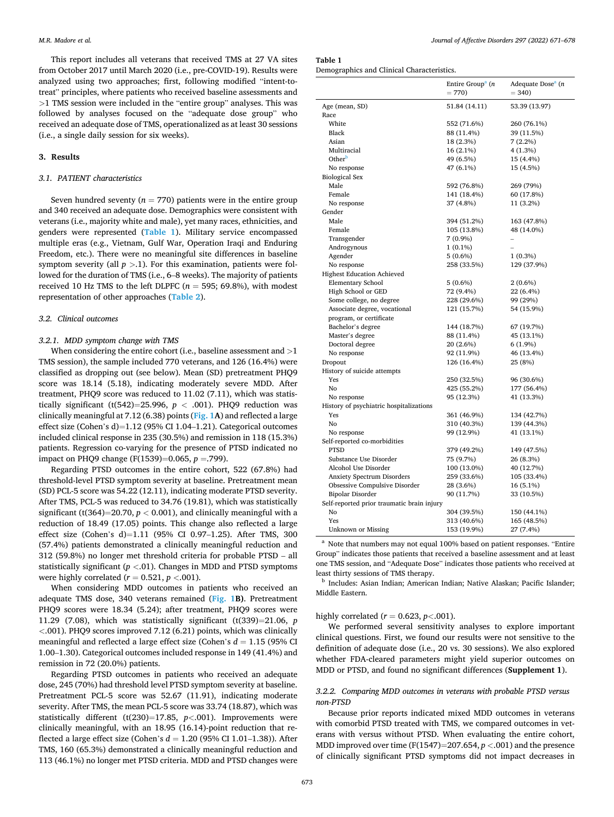This report includes all veterans that received TMS at 27 VA sites from October 2017 until March 2020 (i.e., pre-COVID-19). Results were analyzed using two approaches; first, following modified "intent-totreat" principles, where patients who received baseline assessments and *>*1 TMS session were included in the "entire group" analyses. This was followed by analyses focused on the "adequate dose group" who received an adequate dose of TMS, operationalized as at least 30 sessions (i.e., a single daily session for six weeks).

#### **3. Results**

#### *3.1. PATIENT characteristics*

Seven hundred seventy ( $n = 770$ ) patients were in the entire group and 340 received an adequate dose. Demographics were consistent with veterans (i.e., majority white and male), yet many races, ethnicities, and genders were represented (**Table 1**). Military service encompassed multiple eras (e.g., Vietnam, Gulf War, Operation Iraqi and Enduring Freedom, etc.). There were no meaningful site differences in baseline symptom severity (all  $p > 1$ ). For this examination, patients were followed for the duration of TMS (i.e., 6–8 weeks). The majority of patients received 10 Hz TMS to the left DLPFC  $(n = 595; 69.8\%)$ , with modest representation of other approaches (**[Table 2](#page-3-0)**).

#### *3.2. Clinical outcomes*

## *3.2.1. MDD symptom change with TMS*

When considering the entire cohort (i.e., baseline assessment and *>*1 TMS session), the sample included 770 veterans, and 126 (16.4%) were classified as dropping out (see below). Mean (SD) pretreatment PHQ9 score was 18.14 (5.18), indicating moderately severe MDD. After treatment, PHQ9 score was reduced to 11.02 (7.11), which was statistically significant (t(542)=25.996,  $p < .001$ ). PHQ9 reduction was clinically meaningful at 7.12 (6.38) points (**[Fig. 1](#page-4-0)A**) and reflected a large effect size (Cohen's d)=1.12 (95% CI 1.04–1.21). Categorical outcomes included clinical response in 235 (30.5%) and remission in 118 (15.3%) patients. Regression co-varying for the presence of PTSD indicated no impact on PHQ9 change (F(1539)=0.065, *p* =.799).

Regarding PTSD outcomes in the entire cohort, 522 (67.8%) had threshold-level PTSD symptom severity at baseline. Pretreatment mean (SD) PCL-5 score was 54.22 (12.11), indicating moderate PTSD severity. After TMS, PCL-5 was reduced to 34.76 (19.81), which was statistically significant (t(364)=20.70,  $p < 0.001$ ), and clinically meaningful with a reduction of 18.49 (17.05) points. This change also reflected a large effect size (Cohen's d)=1.11 (95% CI 0.97–1.25). After TMS, 300 (57.4%) patients demonstrated a clinically meaningful reduction and 312 (59.8%) no longer met threshold criteria for probable PTSD – all statistically significant (*p <*.01). Changes in MDD and PTSD symptoms were highly correlated  $(r = 0.521, p < 0.001)$ .

When considering MDD outcomes in patients who received an adequate TMS dose, 340 veterans remained (**[Fig. 1](#page-4-0)B)**. Pretreatment PHQ9 scores were 18.34 (5.24); after treatment, PHQ9 scores were 11.29 (7.08), which was statistically significant (t(339)=21.06, *p <*.001). PHQ9 scores improved 7.12 (6.21) points, which was clinically meaningful and reflected a large effect size (Cohen's *d* = 1.15 (95% CI 1.00–1.30). Categorical outcomes included response in 149 (41.4%) and remission in 72 (20.0%) patients.

Regarding PTSD outcomes in patients who received an adequate dose, 245 (70%) had threshold level PTSD symptom severity at baseline. Pretreatment PCL-5 score was 52.67 (11.91), indicating moderate severity. After TMS, the mean PCL-5 score was 33.74 (18.87), which was statistically different (t(230)=17.85, *p<*.001). Improvements were clinically meaningful, with an 18.95 (16.14)-point reduction that reflected a large effect size (Cohen's *d* = 1.20 (95% CI 1.01–1.38)). After TMS, 160 (65.3%) demonstrated a clinically meaningful reduction and 113 (46.1%) no longer met PTSD criteria. MDD and PTSD changes were

## **Table 1**

Demographics and Clinical Characteristics.

|                                            | Entire Group <sup>a</sup> ( <i>n</i><br>$= 770$ | Adequate Dose <sup>a</sup> (n<br>$= 340$ |
|--------------------------------------------|-------------------------------------------------|------------------------------------------|
| Age (mean, SD)                             | 51.84 (14.11)                                   | 53.39 (13.97)                            |
| Race                                       |                                                 |                                          |
| White                                      | 552 (71.6%)                                     | 260 (76.1%)                              |
| Black                                      | 88 (11.4%)                                      | 39 (11.5%)                               |
| Asian                                      | 18 (2.3%)                                       | $7(2.2\%)$                               |
| Multiracial                                | 16 (2.1%)                                       | 4(1.3%)                                  |
| Other <sup>b</sup>                         | 49 (6.5%)                                       | 15 (4.4%)                                |
| No response                                | 47 (6.1%)                                       | 15 (4.5%)                                |
| <b>Biological Sex</b>                      |                                                 |                                          |
| Male                                       | 592 (76.8%)                                     | 269 (79%)                                |
| Female                                     | 141 (18.4%)                                     | 60 (17.8%)                               |
| No response                                | 37 (4.8%)                                       | 11 (3.2%)                                |
| Gender                                     |                                                 |                                          |
| Male                                       | 394 (51.2%)                                     | 163 (47.8%)                              |
| Female                                     | 105 (13.8%)                                     | 48 (14.0%)                               |
| Transgender                                | 7(0.9%                                          | $\qquad \qquad -$                        |
| Androgynous                                | $1(0.1\%)$                                      |                                          |
| Agender                                    | $5(0.6\%)$                                      | $1(0.3\%)$                               |
| No response                                | 258 (33.5%)                                     | 129 (37.9%)                              |
| <b>Highest Education Achieved</b>          |                                                 |                                          |
| <b>Elementary School</b>                   | $5(0.6\%)$                                      | $2(0.6\%)$                               |
| High School or GED                         | 72 (9.4%)                                       | 22 (6.4%)                                |
| Some college, no degree                    | 228 (29.6%)                                     | 99 (29%)                                 |
| Associate degree, vocational               | 121 (15.7%)                                     | 54 (15.9%)                               |
| program, or certificate                    |                                                 |                                          |
| Bachelor's degree                          | 144 (18.7%)                                     | 67 (19.7%)                               |
| Master's degree                            | 88 (11.4%)                                      | 45 (13.1%)                               |
| Doctoral degree                            | 20 (2.6%)                                       | $6(1.9\%)$                               |
| No response                                | 92 (11.9%)                                      | 46 (13.4%)                               |
| Dropout                                    | 126 (16.4%)                                     | 25 (8%)                                  |
| History of suicide attempts                |                                                 |                                          |
| Yes                                        | 250 (32.5%)                                     | 96 (30.6%)                               |
| No                                         | 425 (55.2%)                                     | 177 (56.4%)                              |
| No response                                | 95 (12.3%)                                      | 41 (13.3%)                               |
| History of psychiatric hospitalizations    |                                                 |                                          |
| Yes                                        | 361 (46.9%)                                     | 134 (42.7%)                              |
| No                                         | 310 (40.3%)                                     | 139 (44.3%)                              |
| No response                                | 99 (12.9%)                                      | 41 (13.1%)                               |
| Self-reported co-morbidities               |                                                 |                                          |
| <b>PTSD</b>                                | 379 (49.2%)                                     | 149 (47.5%)                              |
| Substance Use Disorder                     | 75 (9.7%)                                       | 26 (8.3%)                                |
| Alcohol Use Disorder                       | 100 (13.0%)                                     | 40 (12.7%)                               |
| <b>Anxiety Spectrum Disorders</b>          | 259 (33.6%)                                     | 105 (33.4%)                              |
| Obsessive Compulsive Disorder              | 28 (3.6%)                                       | 16 (5.1%)                                |
| <b>Bipolar Disorder</b>                    | 90 (11.7%)                                      | 33 (10.5%)                               |
| Self-reported prior traumatic brain injury |                                                 |                                          |
| No                                         | 304 (39.5%)                                     | 150 (44.1%)                              |
| Yes                                        | 313 (40.6%)                                     | 165 (48.5%)                              |
| Unknown or Missing                         | 153 (19.9%)                                     | 27 (7.4%)                                |

<sup>a</sup> Note that numbers may not equal 100% based on patient responses. "Entire Group" indicates those patients that received a baseline assessment and at least one TMS session, and "Adequate Dose" indicates those patients who received at least thirty sessions of TMS therapy.<br><sup>b</sup> Includes: Asian Indian; American Indian; Native Alaskan; Pacific Islander;

Middle Eastern.

## highly correlated (*r* = 0.623, *p<*.001).

We performed several sensitivity analyses to explore important clinical questions. First, we found our results were not sensitive to the definition of adequate dose (i.e., 20 vs. 30 sessions). We also explored whether FDA-cleared parameters might yield superior outcomes on MDD or PTSD, and found no significant differences (**Supplement 1**).

## *3.2.2. Comparing MDD outcomes in veterans with probable PTSD versus non-PTSD*

Because prior reports indicated mixed MDD outcomes in veterans with comorbid PTSD treated with TMS, we compared outcomes in veterans with versus without PTSD. When evaluating the entire cohort, MDD improved over time (F(1547)=207.654, *p <*.001) and the presence of clinically significant PTSD symptoms did not impact decreases in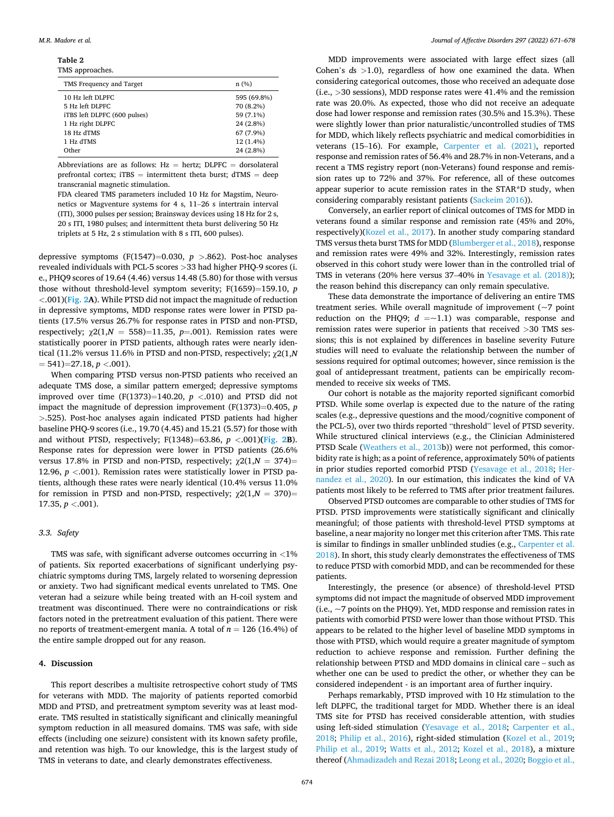<span id="page-3-0"></span>**Table 2**  TMS approaches.

| ---- -- -- ---------         |             |
|------------------------------|-------------|
| TMS Frequency and Target     | n(%)        |
| 10 Hz left DLPFC             | 595 (69.8%) |
| 5 Hz left DLPFC              | 70 (8.2%)   |
| iTBS left DLPFC (600 pulses) | 59 (7.1%)   |
| 1 Hz right DLPFC             | 24 (2.8%)   |
| 18 Hz dTMS                   | 67 (7.9%)   |
| 1 Hz dTMS                    | 12 (1.4%)   |
| Other                        | 24 (2.8%)   |

Abbreviations are as follows: Hz = hertz; DLPFC = dorsolateral prefrontal cortex;  $iTBS =$  intermittent theta burst;  $dTMS = deep$ transcranial magnetic stimulation.

FDA cleared TMS parameters included 10 Hz for Magstim, Neuronetics or Magventure systems for 4 s, 11–26 s intertrain interval (ITI), 3000 pulses per session; Brainsway devices using 18 Hz for 2 s, 20 s ITI, 1980 pulses; and intermittent theta burst delivering 50 Hz triplets at 5 Hz, 2 s stimulation with 8 s ITI, 600 pulses).

depressive symptoms (F(1547)=0.030, *p >*.862). Post-hoc analyses revealed individuals with PCL-5 scores *>*33 had higher PHQ-9 scores (i. e., PHQ9 scores of 19.64 (4.46) versus 14.48 (5.80) for those with versus those without threshold-level symptom severity; F(1659)=159.10, *p <*.001)(**[Fig. 2A](#page-5-0)**). While PTSD did not impact the magnitude of reduction in depressive symptoms, MDD response rates were lower in PTSD patients (17.5% versus 26.7% for response rates in PTSD and non-PTSD, respectively;  $\chi^2(1, N = 558) = 11.35$ ,  $p = .001$ ). Remission rates were statistically poorer in PTSD patients, although rates were nearly identical (11.2% versus 11.6% in PTSD and non-PTSD, respectively; χ2(1,*N*  = 541)=27.18, *p <*.001).

When comparing PTSD versus non-PTSD patients who received an adequate TMS dose, a similar pattern emerged; depressive symptoms improved over time (F(1373)=140.20,  $p$  < 010) and PTSD did not impact the magnitude of depression improvement (F(1373)=0.405, *p >*.525). Post-hoc analyses again indicated PTSD patients had higher baseline PHQ-9 scores (i.e., 19.70 (4.45) and 15.21 (5.57) for those with and without PTSD, respectively; F(1348)=63.86, *p <*.001)**([Fig. 2](#page-5-0)B**). Response rates for depression were lower in PTSD patients (26.6% versus 17.8% in PTSD and non-PTSD, respectively;  $\chi$ 2(1,*N* = 374)= 12.96, *p <*.001). Remission rates were statistically lower in PTSD patients, although these rates were nearly identical (10.4% versus 11.0% for remission in PTSD and non-PTSD, respectively;  $\chi$ 2(1,*N* = 370)= 17.35, *p <*.001).

## *3.3. Safety*

TMS was safe, with significant adverse outcomes occurring in *<*1% of patients. Six reported exacerbations of significant underlying psychiatric symptoms during TMS, largely related to worsening depression or anxiety. Two had significant medical events unrelated to TMS. One veteran had a seizure while being treated with an H-coil system and treatment was discontinued. There were no contraindications or risk factors noted in the pretreatment evaluation of this patient. There were no reports of treatment-emergent mania. A total of *n* = 126 (16.4%) of the entire sample dropped out for any reason.

#### **4. Discussion**

This report describes a multisite retrospective cohort study of TMS for veterans with MDD. The majority of patients reported comorbid MDD and PTSD, and pretreatment symptom severity was at least moderate. TMS resulted in statistically significant and clinically meaningful symptom reduction in all measured domains. TMS was safe, with side effects (including one seizure) consistent with its known safety profile, and retention was high. To our knowledge, this is the largest study of TMS in veterans to date, and clearly demonstrates effectiveness.

MDD improvements were associated with large effect sizes (all Cohen's *d*s *>*1.0), regardless of how one examined the data. When considering categorical outcomes, those who received an adequate dose (i.e., *>*30 sessions), MDD response rates were 41.4% and the remission rate was 20.0%. As expected, those who did not receive an adequate dose had lower response and remission rates (30.5% and 15.3%). These were slightly lower than prior naturalistic/uncontrolled studies of TMS for MDD, which likely reflects psychiatric and medical comorbidities in veterans (15–16). For example, [Carpenter et al. \(2021\)](#page-6-0), reported response and remission rates of 56.4% and 28.7% in non-Veterans, and a recent a TMS registry report (non-Veterans) found response and remission rates up to 72% and 37%. For reference, all of these outcomes appear superior to acute remission rates in the STAR\*D study, when considering comparably resistant patients [\(Sackeim 2016\)](#page-7-0)).

Conversely, an earlier report of clinical outcomes of TMS for MDD in veterans found a similar response and remission rate (45% and 20%, respectively)([Kozel et al., 2017](#page-7-0)). In another study comparing standard TMS versus theta burst TMS for MDD ([Blumberger et al., 2018](#page-6-0)), response and remission rates were 49% and 32%. Interestingly, remission rates observed in this cohort study were lower than in the controlled trial of TMS in veterans (20% here versus 37–40% in [Yesavage et al. \(2018\)](#page-7-0)); the reason behind this discrepancy can only remain speculative.

These data demonstrate the importance of delivering an entire TMS treatment series. While overall magnitude of improvement (~7 point reduction on the PHQ9;  $d = -1.1$ ) was comparable, response and remission rates were superior in patients that received *>*30 TMS sessions; this is not explained by differences in baseline severity Future studies will need to evaluate the relationship between the number of sessions required for optimal outcomes; however, since remission is the goal of antidepressant treatment, patients can be empirically recommended to receive six weeks of TMS.

Our cohort is notable as the majority reported significant comorbid PTSD. While some overlap is expected due to the nature of the rating scales (e.g., depressive questions and the mood/cognitive component of the PCL-5), over two thirds reported "threshold" level of PTSD severity. While structured clinical interviews (e.g., the Clinician Administered PTSD Scale [\(Weathers et al., 2013b](#page-7-0))) were not performed, this comorbidity rate is high; as a point of reference, approximately 50% of patients in prior studies reported comorbid PTSD ([Yesavage et al., 2018;](#page-7-0) [Her](#page-7-0)[nandez et al., 2020\)](#page-7-0). In our estimation, this indicates the kind of VA patients most likely to be referred to TMS after prior treatment failures.

Observed PTSD outcomes are comparable to other studies of TMS for PTSD. PTSD improvements were statistically significant and clinically meaningful; of those patients with threshold-level PTSD symptoms at baseline, a near majority no longer met this criterion after TMS. This rate is similar to findings in smaller unblinded studies (e.g., [Carpenter et al.](#page-6-0)  [2018\)](#page-6-0). In short, this study clearly demonstrates the effectiveness of TMS to reduce PTSD with comorbid MDD, and can be recommended for these patients.

Interestingly, the presence (or absence) of threshold-level PTSD symptoms did not impact the magnitude of observed MDD improvement (i.e., ~7 points on the PHQ9). Yet, MDD response and remission rates in patients with comorbid PTSD were lower than those without PTSD. This appears to be related to the higher level of baseline MDD symptoms in those with PTSD, which would require a greater magnitude of symptom reduction to achieve response and remission. Further defining the relationship between PTSD and MDD domains in clinical care – such as whether one can be used to predict the other, or whether they can be considered independent - is an important area of further inquiry.

Perhaps remarkably, PTSD improved with 10 Hz stimulation to the left DLPFC, the traditional target for MDD. Whether there is an ideal TMS site for PTSD has received considerable attention, with studies using left-sided stimulation [\(Yesavage et al., 2018;](#page-7-0) [Carpenter et al.,](#page-6-0)  [2018;](#page-6-0) [Philip et al., 2016\)](#page-7-0), right-sided stimulation [\(Kozel et al., 2019](#page-7-0); [Philip et al., 2019;](#page-7-0) [Watts et al., 2012;](#page-7-0) [Kozel et al., 2018](#page-7-0)), a mixture thereof ([Ahmadizadeh and Rezai 2018](#page-6-0); [Leong et al., 2020;](#page-7-0) [Boggio et al.,](#page-6-0)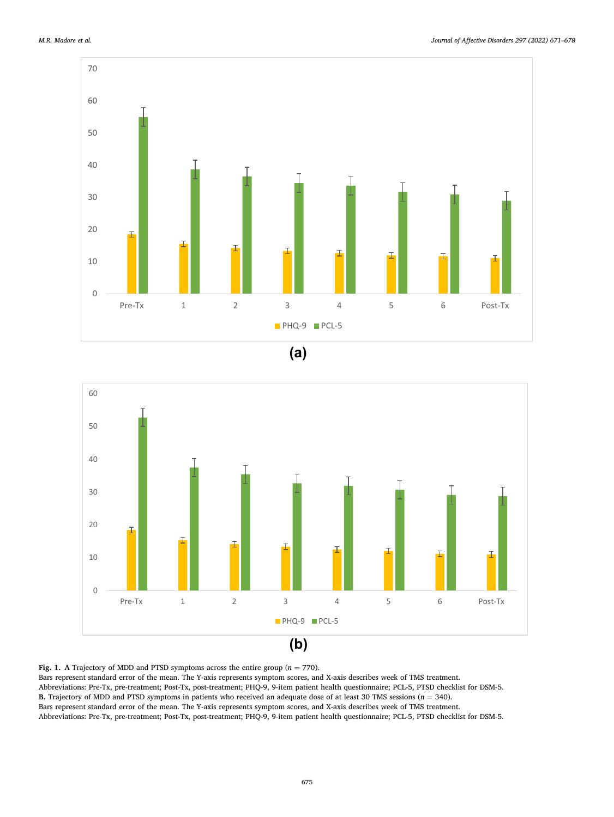<span id="page-4-0"></span>





**Fig. 1.** A Trajectory of MDD and PTSD symptoms across the entire group  $(n = 770)$ .

Bars represent standard error of the mean. The Y-axis represents symptom scores, and X-axis describes week of TMS treatment. Abbreviations: Pre-Tx, pre-treatment; Post-Tx, post-treatment; PHQ-9, 9-item patient health questionnaire; PCL-5, PTSD checklist for DSM-5. **B.** Trajectory of MDD and PTSD symptoms in patients who received an adequate dose of at least 30 TMS sessions (*n* = 340). Bars represent standard error of the mean. The Y-axis represents symptom scores, and X-axis describes week of TMS treatment.

Abbreviations: Pre-Tx, pre-treatment; Post-Tx, post-treatment; PHQ-9, 9-item patient health questionnaire; PCL-5, PTSD checklist for DSM-5.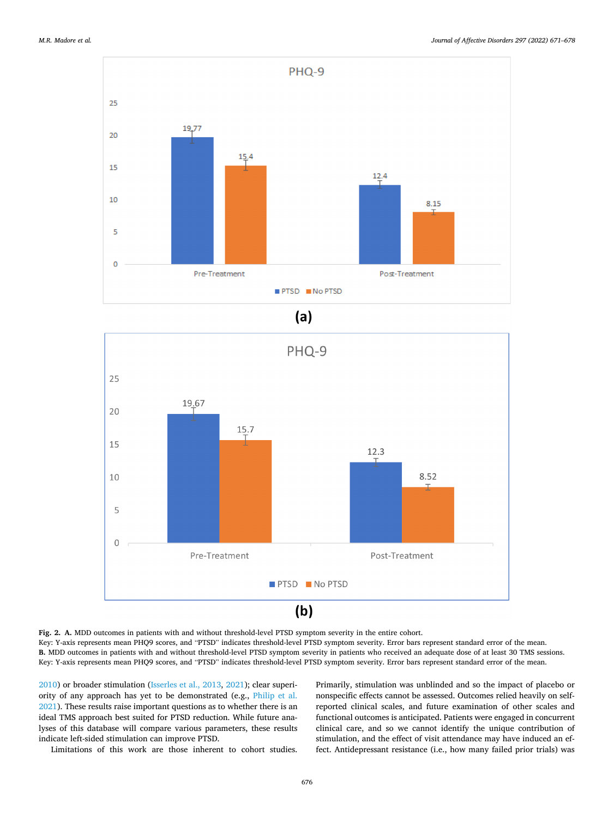<span id="page-5-0"></span>

 $(a)$ 

![](_page_5_Figure_4.jpeg)

**Fig. 2. A.** MDD outcomes in patients with and without threshold-level PTSD symptom severity in the entire cohort. Key: Y-axis represents mean PHQ9 scores, and "PTSD" indicates threshold-level PTSD symptom severity. Error bars represent standard error of the mean. **B.** MDD outcomes in patients with and without threshold-level PTSD symptom severity in patients who received an adequate dose of at least 30 TMS sessions. Key: Y-axis represents mean PHQ9 scores, and "PTSD" indicates threshold-level PTSD symptom severity. Error bars represent standard error of the mean.

[2010\)](#page-6-0) or broader stimulation [\(Isserles et al., 2013, 2021](#page-7-0)); clear superiority of any approach has yet to be demonstrated (e.g., [Philip et al.](#page-7-0)  [2021\)](#page-7-0). These results raise important questions as to whether there is an ideal TMS approach best suited for PTSD reduction. While future analyses of this database will compare various parameters, these results indicate left-sided stimulation can improve PTSD.

Limitations of this work are those inherent to cohort studies.

Primarily, stimulation was unblinded and so the impact of placebo or nonspecific effects cannot be assessed. Outcomes relied heavily on selfreported clinical scales, and future examination of other scales and functional outcomes is anticipated. Patients were engaged in concurrent clinical care, and so we cannot identify the unique contribution of stimulation, and the effect of visit attendance may have induced an effect. Antidepressant resistance (i.e., how many failed prior trials) was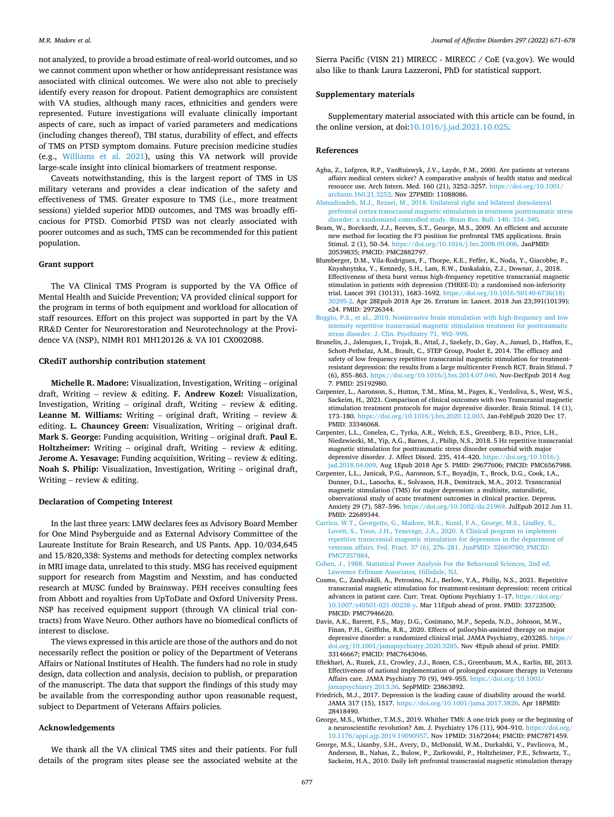<span id="page-6-0"></span>not analyzed, to provide a broad estimate of real-world outcomes, and so we cannot comment upon whether or how antidepressant resistance was associated with clinical outcomes. We were also not able to precisely identify every reason for dropout. Patient demographics are consistent with VA studies, although many races, ethnicities and genders were represented. Future investigations will evaluate clinically important aspects of care, such as impact of varied parameters and medications (including changes thereof), TBI status, durability of effect, and effects of TMS on PTSD symptom domains. Future precision medicine studies (e.g., [Williams et al. 2021](#page-7-0)), using this VA network will provide large-scale insight into clinical biomarkers of treatment response.

Caveats notwithstanding, this is the largest report of TMS in US military veterans and provides a clear indication of the safety and effectiveness of TMS. Greater exposure to TMS (i.e., more treatment sessions) yielded superior MDD outcomes, and TMS was broadly efficacious for PTSD. Comorbid PTSD was not clearly associated with poorer outcomes and as such, TMS can be recommended for this patient population.

## **Grant support**

The VA Clinical TMS Program is supported by the VA Office of Mental Health and Suicide Prevention; VA provided clinical support for the program in terms of both equipment and workload for allocation of staff resources. Effort on this project was supported in part by the VA RR&D Center for Neurorestoration and Neurotechnology at the Providence VA (NSP), NIMH R01 MH120126 & VA I01 CX002088.

#### **CRediT authorship contribution statement**

**Michelle R. Madore:** Visualization, Investigation, Writing – original draft, Writing – review & editing. **F. Andrew Kozel:** Visualization, Investigation, Writing – original draft, Writing – review & editing. **Leanne M. Williams:** Writing – original draft, Writing – review & editing. **L. Chauncey Green:** Visualization, Writing – original draft. **Mark S. George:** Funding acquisition, Writing – original draft. **Paul E. Holtzheimer:** Writing – original draft, Writing – review & editing. **Jerome A. Yesavage:** Funding acquisition, Writing – review & editing. **Noah S. Philip:** Visualization, Investigation, Writing – original draft, Writing – review  $&$  editing.

## **Declaration of Competing Interest**

In the last three years: LMW declares fees as Advisory Board Member for One Mind Psyberguide and as External Advisory Committee of the Laureate Institute for Brain Research, and US Pants. App. 10/034,645 and 15/820,338: Systems and methods for detecting complex networks in MRI image data, unrelated to this study. MSG has received equipment support for research from Magstim and Nexstim, and has conducted research at MUSC funded by Brainsway. PEH receives consulting fees from Abbott and royalties from UpToDate and Oxford University Press. NSP has received equipment support (through VA clinical trial contracts) from Wave Neuro. Other authors have no biomedical conflicts of interest to disclose.

The views expressed in this article are those of the authors and do not necessarily reflect the position or policy of the Department of Veterans Affairs or National Institutes of Health. The funders had no role in study design, data collection and analysis, decision to publish, or preparation of the manuscript. The data that support the findings of this study may be available from the corresponding author upon reasonable request, subject to Department of Veterans Affairs policies.

## **Acknowledgements**

We thank all the VA clinical TMS sites and their patients. For full details of the program sites please see the associated website at the

Sierra Pacific (VISN 21) MIRECC - MIRECC / CoE (va.gov). We would also like to thank Laura Lazzeroni, PhD for statistical support.

#### **Supplementary materials**

Supplementary material associated with this article can be found, in the online version, at doi:[10.1016/j.jad.2021.10.025](https://10.1016/j.jad.2021.10.025).

#### **References**

- Agha, Z., Lofgren, R.P., VanRuiswyk, J.V., Layde, P.M., 2000. Are patients at veterans affairs medical centers sicker? A comparative analysis of health status and medical resource use. Arch Intern. Med. 160 (21), 3252–3257. [https://doi.org/10.1001/](https://doi.org/10.1001/archinte.160.21.3252)  [archinte.160.21.3252](https://doi.org/10.1001/archinte.160.21.3252). Nov 27PMID: 11088086.
- [Ahmadizadeh, M.J., Rezaei, M., 2018. Unilateral right and bilateral dorsolateral](http://refhub.elsevier.com/S0165-0327(21)01102-2/sbref0002) [prefrontal cortex transcranial magnetic stimulation in treatment posttraumatic stress](http://refhub.elsevier.com/S0165-0327(21)01102-2/sbref0002)  [disorder: a randomized controlled study. Brain Res. Bull. 140, 334](http://refhub.elsevier.com/S0165-0327(21)01102-2/sbref0002)–340.
- Beam, W., Borckardt, J.J., Reeves, S.T., George, M.S., 2009. An efficient and accurate new method for locating the F3 position for prefrontal TMS applications. Brain Stimul. 2 (1), 50–54. [https://doi.org/10.1016/j.brs.2008.09.006.](https://doi.org/10.1016/j.brs.2008.09.006) JanPMID: 20539835; PMCID: PMC2882797.
- Blumberger, D.M., Vila-Rodriguez, F., Thorpe, K.E., Feffer, K., Noda, Y., Giacobbe, P., Knyahnytska, Y., Kennedy, S.H., Lam, R.W., Daskalakis, Z.J., Downar, J., 2018. Effectiveness of theta burst versus high-frequency repetitive transcranial magnetic stimulation in patients with depression (THREE-D): a randomised non-inferiority trial. Lancet 391 (10131), 1683–1692. [https://doi.org/10.1016/S0140-6736\(18\)](https://doi.org/10.1016/S0140-6736(18)30295-2) [30295-2](https://doi.org/10.1016/S0140-6736(18)30295-2). Apr 28Epub 2018 Apr 26. Erratum in: Lancet. 2018 Jun 23;391(10139): e24. PMID: 29726344.
- [Boggio, P.S., et al., 2010. Noninvasive brain stimulation with high-frequency and low](http://refhub.elsevier.com/S0165-0327(21)01102-2/sbref0005) [intensity repetitive transcranial magnetic stimulation treatment for posttraumatic](http://refhub.elsevier.com/S0165-0327(21)01102-2/sbref0005)  [stress disorder. J. Clin. Psychiatry 71, 992](http://refhub.elsevier.com/S0165-0327(21)01102-2/sbref0005)–999.
- Brunelin, J., Jalenques, I., Trojak, B., Attal, J., Szekely, D., Gay, A., Januel, D., Haffen, E., Schott-Pethelaz, A.M., Brault, C., STEP Group, Poulet E, 2014. The efficacy and safety of low frequency repetitive transcranial magnetic stimulation for treatmentresistant depression: the results from a large multicenter French RCT. Brain Stimul. 7 (6), 855–863.<https://doi.org/10.1016/j.brs.2014.07.040>. Nov-DecEpub 2014 Aug 7. PMID: 25192980.
- Carpenter, L., Aaronson, S., Hutton, T.M., Mina, M., Pages, K., Verdoliva, S., West, W.S., Sackeim, H., 2021. Comparison of clinical outcomes with two Transcranial magnetic stimulation treatment protocols for major depressive disorder. Brain Stimul. 14 (1), 173–180. [https://doi.org/10.1016/j.brs.2020.12.003.](https://doi.org/10.1016/j.brs.2020.12.003) Jan-FebEpub 2020 Dec 17. PMID: 33346068.
- Carpenter, L.L., Conelea, C., Tyrka, A.R., Welch, E.S., Greenberg, B.D., Price, L.H., Niedzwiecki, M., Yip, A.G., Barnes, J., Philip, N.S., 2018. 5 Hz repetitive transcranial magnetic stimulation for posttraumatic stress disorder comorbid with major depressive disorder. J. Affect Disord. 235, 414-420. https://doi.org/ [jad.2018.04.009.](https://doi.org/10.1016/j.jad.2018.04.009) Aug 1Epub 2018 Apr 5. PMID: 29677606; PMCID: PMC6567988.
- Carpenter, L.L., Janicak, P.G., Aaronson, S.T., Boyadjis, T., Brock, D.G., Cook, I.A., Dunner, D.L., Lanocha, K., Solvason, H.B., Demitrack, M.A., 2012. Transcranial magnetic stimulation (TMS) for major depression: a multisite, naturalistic, observational study of acute treatment outcomes in clinical practice. Depress. Anxiety 29 (7), 587–596. [https://doi.org/10.1002/da.21969.](https://doi.org/10.1002/da.21969) JulEpub 2012 Jun 11. PMID: 22689344.
- [Carrico, W.T., Georgette, G., Madore, M.R., Kozel, F.A., George, M.S., Lindley, S.,](http://refhub.elsevier.com/S0165-0327(21)01102-2/sbref0010) [Lovett, S., Yoon, J.H., Yesavage, J.A., 2020. A Clinical program to implement](http://refhub.elsevier.com/S0165-0327(21)01102-2/sbref0010) [repetitive transcranial magnetic stimulation for depression in the department of](http://refhub.elsevier.com/S0165-0327(21)01102-2/sbref0010)  [veterans affairs. Fed. Pract. 37 \(6\), 276](http://refhub.elsevier.com/S0165-0327(21)01102-2/sbref0010)–281. JunPMID: 32669780; PMCID: [PMC7357884.](http://refhub.elsevier.com/S0165-0327(21)01102-2/sbref0010)
- [Cohen, J., 1988. Statistical Power Analysis For the Behavioral Sciences, 2nd ed.](http://refhub.elsevier.com/S0165-0327(21)01102-2/sbref0011)  [Lawrence Erlbaum Associates, Hillsdale, NJ.](http://refhub.elsevier.com/S0165-0327(21)01102-2/sbref0011)
- Cosmo, C., Zandvakili, A., Petrosino, N.J., Berlow, Y.A., Philip, N.S., 2021. Repetitive transcranial magnetic stimulation for treatment-resistant depression: recent critical advances in patient care. Curr. Treat. Options Psychiatry 1–17. [https://doi.org/](https://doi.org/10.1007/s40501-021-00238-y)  [10.1007/s40501-021-00238-y.](https://doi.org/10.1007/s40501-021-00238-y) Mar 11Epub ahead of print. PMID: 33723500; PMCID: PMC7946620.
- Davis, A.K., Barrett, F.S., May, D.G., Cosimano, M.P., Sepeda, N.D., Johnson, M.W., Finan, P.H., Griffiths, R.R., 2020. Effects of psilocybin-assisted therapy on major depressive disorder: a randomized clinical trial. JAMA Psychiatry, e203285. [https://](https://doi.org/10.1001/jamapsychiatry.2020.3285)  [doi.org/10.1001/jamapsychiatry.2020.3285.](https://doi.org/10.1001/jamapsychiatry.2020.3285) Nov 4Epub ahead of print. PMID: 33146667; PMCID: PMC7643046.
- Eftekhari, A., Ruzek, J.I., Crowley, J.J., Rosen, C.S., Greenbaum, M.A., Karlin, BE, 2013. Effectiveness of national implementation of prolonged exposure therapy in Veterans Affairs care. JAMA Psychiatry 70 (9), 949–955. [https://doi.org/10.1001/](https://doi.org/10.1001/jamapsychiatry.2013.36) [jamapsychiatry.2013.36.](https://doi.org/10.1001/jamapsychiatry.2013.36) SepPMID: 23863892.
- Friedrich, M.J., 2017. Depression is the leading cause of disability around the world. JAMA 317 (15), 1517. [https://doi.org/10.1001/jama.2017.3826.](https://doi.org/10.1001/jama.2017.3826) Apr 18PMID: 28418490.
- George, M.S., Whither, T.M.S., 2019. Whither TMS: A one-trick pony or the beginning of a neuroscientific revolution? Am. J. Psychiatry 176 (11), 904–910. https://doi.org [10.1176/appi.ajp.2019.19090957](https://doi.org/10.1176/appi.ajp.2019.19090957). Nov 1PMID: 31672044; PMCID: PMC7871459.
- George, M.S., Lisanby, S.H., Avery, D., McDonald, W.M., Durkalski, V., Pavlicova, M., Anderson, B., Nahas, Z., Bulow, P., Zarkowski, P., Holtzheimer, P.E., Schwartz, T., Sackeim, H.A., 2010. Daily left prefrontal transcranial magnetic stimulation therapy